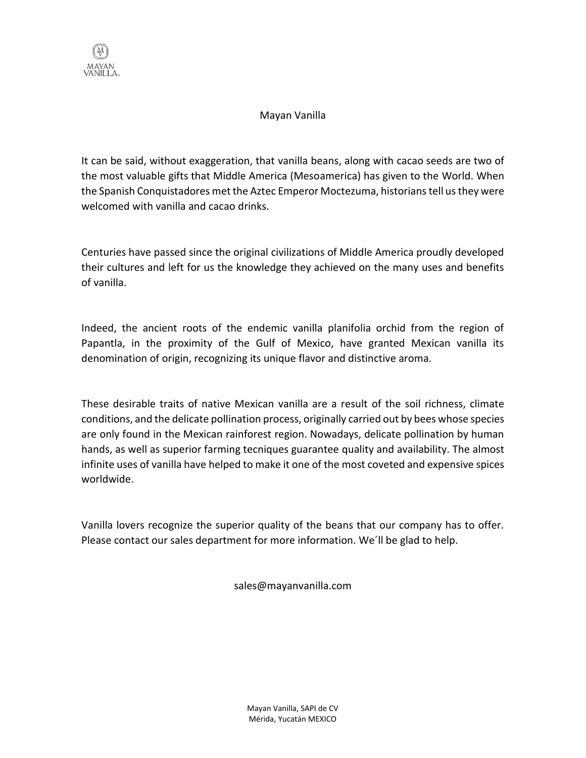

## Mayan Vanilla

It can be said, without exaggeration, that vanilla beans, along with cacao seeds are two of the most valuable gifts that Middle America (Mesoamerica) has given to the World. When the Spanish Conquistadores met the Aztec Emperor Moctezuma, historians tell us they were welcomed with vanilla and cacao drinks.

Centuries have passed since the original civilizations of Middle America proudly developed their cultures and left for us the knowledge they achieved on the many uses and benefits of vanilla.

Indeed, the ancient roots of the endemic vanilla planifolia orchid from the region of Papantla, in the proximity of the Gulf of Mexico, have granted Mexican vanilla its denomination of origin, recognizing its unique flavor and distinctive aroma.

These desirable traits of native Mexican vanilla are a result of the soil richness, climate conditions, and the delicate pollination process, originally carried out by bees whose species are only found in the Mexican rainforest region. Nowadays, delicate pollination by human hands, as well as superior farming tecniques guarantee quality and availability. The almost infinite uses of vanilla have helped to make it one of the most coveted and expensive spices worldwide.

Vanilla lovers recognize the superior quality of the beans that our company has to offer. Please contact our sales department for more information. We´ll be glad to help.

sales@mayanvanilla.com